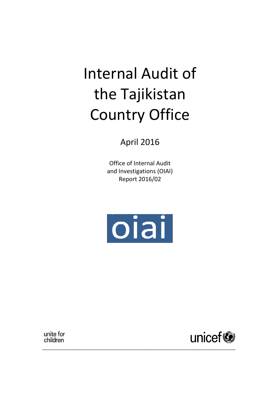# Internal Audit of the Tajikistan Country Office

April 2016

Office of Internal Audit and Investigations (OIAI) Report 2016/02



\_\_\_\_\_\_\_\_\_\_\_\_\_\_\_\_\_\_\_\_\_\_\_\_\_\_\_\_\_\_\_\_\_\_\_\_\_\_\_\_\_\_\_\_\_\_\_\_\_\_\_\_\_\_\_\_\_\_\_\_\_\_\_\_\_\_\_\_\_\_\_\_\_\_\_

unite for children

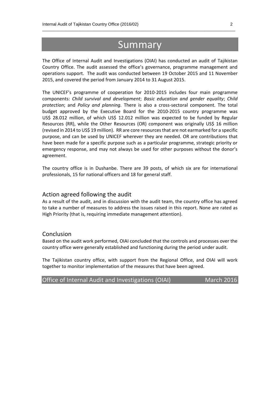# **Summary**

 $\_$  , and the set of the set of the set of the set of the set of the set of the set of the set of the set of the set of the set of the set of the set of the set of the set of the set of the set of the set of the set of th

The Office of Internal Audit and Investigations (OIAI) has conducted an audit of Tajikistan Country Office. The audit assessed the office's governance, programme management and operations support. The audit was conducted between 19 October 2015 and 11 November 2015, and covered the period from January 2014 to 31 August 2015.

The UNICEF's programme of cooperation for 2010-2015 includes four main programme components: *Child survival and development*; *Basic education and gender equality*; *Child protection*; and *Policy and planning.* There is also a cross-sectoral component. The total budget approved by the Executive Board for the 2010-2015 country programme was US\$ 28.012 million, of which US\$ 12.012 million was expected to be funded by Regular Resources (RR), while the Other Resources (OR) component was originally US\$ 16 million (revised in 2014 to US\$ 19 million). RR are core resources that are not earmarked for a specific purpose, and can be used by UNICEF wherever they are needed. OR are contributions that have been made for a specific purpose such as a particular programme, strategic priority or emergency response, and may not always be used for other purposes without the donor's agreement.

The country office is in Dushanbe. There are 39 posts, of which six are for international professionals, 15 for national officers and 18 for general staff.

#### Action agreed following the audit

As a result of the audit, and in discussion with the audit team, the country office has agreed to take a number of measures to address the issues raised in this report. None are rated as High Priority (that is, requiring immediate management attention).

#### Conclusion

Based on the audit work performed, OIAI concluded that the controls and processes over the country office were generally established and functioning during the period under audit.

The Tajikistan country office, with support from the Regional Office, and OIAI will work together to monitor implementation of the measures that have been agreed.

| Office of Internal Audit and Investigations (OIAI) | <b>March 2016</b> |
|----------------------------------------------------|-------------------|
|----------------------------------------------------|-------------------|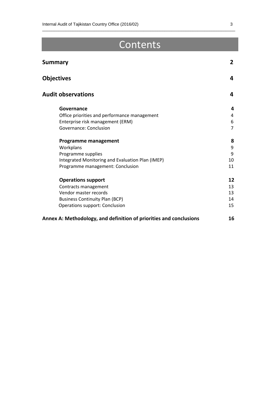# Contents

 $\_$  , and the set of the set of the set of the set of the set of the set of the set of the set of the set of the set of the set of the set of the set of the set of the set of the set of the set of the set of the set of th

| <b>Summary</b>                                                     | $\overline{2}$ |
|--------------------------------------------------------------------|----------------|
| <b>Objectives</b>                                                  | 4              |
| <b>Audit observations</b>                                          | 4              |
| Governance                                                         | 4              |
| Office priorities and performance management                       | 4              |
| Enterprise risk management (ERM)                                   | 6              |
| Governance: Conclusion                                             | $\overline{7}$ |
| <b>Programme management</b>                                        | 8              |
| Workplans                                                          | 9              |
| Programme supplies                                                 | 9              |
| Integrated Monitoring and Evaluation Plan (IMEP)                   | 10             |
| Programme management: Conclusion                                   | 11             |
| <b>Operations support</b>                                          | 12             |
| Contracts management                                               | 13             |
| Vendor master records                                              | 13             |
| <b>Business Continuity Plan (BCP)</b>                              | 14             |
| <b>Operations support: Conclusion</b>                              | 15             |
| Annex A: Methodology, and definition of priorities and conclusions | 16             |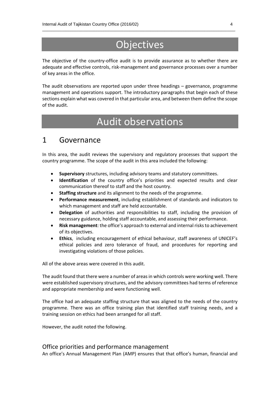# **Objectives**

 $\_$  , and the set of the set of the set of the set of the set of the set of the set of the set of the set of the set of the set of the set of the set of the set of the set of the set of the set of the set of the set of th

The objective of the country-office audit is to provide assurance as to whether there are adequate and effective controls, risk-management and governance processes over a number of key areas in the office.

The audit observations are reported upon under three headings – governance, programme management and operations support. The introductory paragraphs that begin each of these sections explain what was covered in that particular area, and between them define the scope of the audit.

# Audit observations

### 1 Governance

In this area, the audit reviews the supervisory and regulatory processes that support the country programme. The scope of the audit in this area included the following:

- **Supervisory** structures, including advisory teams and statutory committees.
- **Identification** of the country office's priorities and expected results and clear communication thereof to staff and the host country.
- **Staffing structure** and its alignment to the needs of the programme.
- **Performance measurement**, including establishment of standards and indicators to which management and staff are held accountable.
- **Delegation** of authorities and responsibilities to staff, including the provision of necessary guidance, holding staff accountable, and assessing their performance.
- **Risk management**: the office's approach to external and internal risks to achievement of its objectives.
- **Ethics**, including encouragement of ethical behaviour, staff awareness of UNICEF's ethical policies and zero tolerance of fraud, and procedures for reporting and investigating violations of those policies.

All of the above areas were covered in this audit.

The audit found that there were a number of areas in which controls were working well. There were established supervisory structures, and the advisory committees had terms of reference and appropriate membership and were functioning well.

The office had an adequate staffing structure that was aligned to the needs of the country programme. There was an office training plan that identified staff training needs, and a training session on ethics had been arranged for all staff.

However, the audit noted the following.

#### Office priorities and performance management

An office's Annual Management Plan (AMP) ensures that that office's human, financial and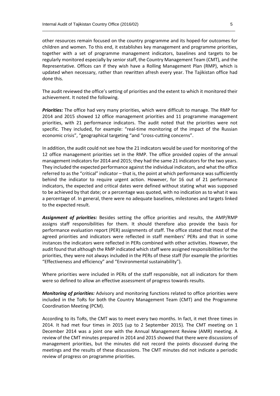other resources remain focused on the country programme and its hoped-for outcomes for children and women. To this end, it establishes key management and programme priorities, together with a set of programme management indicators, baselines and targets to be regularly monitored especially by senior staff, the Country Management Team (CMT), and the Representative. Offices can if they wish have a Rolling Management Plan (RMP), which is updated when necessary, rather than rewritten afresh every year. The Tajikistan office had done this.

 $\_$  , and the set of the set of the set of the set of the set of the set of the set of the set of the set of the set of the set of the set of the set of the set of the set of the set of the set of the set of the set of th

The audit reviewed the office's setting of priorities and the extent to which it monitored their achievement. It noted the following.

*Priorities:* The office had very many priorities, which were difficult to manage. The RMP for 2014 and 2015 showed 12 office management priorities and 11 programme management priorities, with 21 performance indicators. The audit noted that the priorities were not specific. They included, for example: "real-time monitoring of the impact of the Russian economic crisis", "geographical targeting "and "cross-cutting concerns".

In addition, the audit could not see how the 21 indicators would be used for monitoring of the 12 office management priorities set in the RMP. The office provided copies of the annual management indicators for 2014 and 2015; they had the same 21 indicators for the two years. They included the expected performance against the individual indicators, and what the office referred to as the "critical" indicator – that is, the point at which performance was sufficiently behind the indicator to require urgent action. However, for 16 out of 21 performance indicators, the expected and critical dates were defined without stating what was supposed to be achieved by that date; or a percentage was quoted, with no indication as to what it was a percentage of. In general, there were no adequate baselines, milestones and targets linked to the expected result.

*Assignment of priorities:* Besides setting the office priorities and results, the AMP/RMP assigns staff responsibilities for them. It should therefore also provide the basis for performance evaluation report (PER) assignments of staff. The office stated that most of the agreed priorities and indicators were reflected in staff members' PERs and that in some instances the indicators were reflected in PERs combined with other activities. However, the audit found that although the RMP indicated which staff were assigned responsibilities for the priorities, they were not always included in the PERs of these staff (for example the priorities "Effectiveness and efficiency" and "Environmental sustainability").

Where priorities were included in PERs of the staff responsible, not all indicators for them were so defined to allow an effective assessment of progress towards results.

*Monitoring of priorities:* Advisory and monitoring functions related to office priorities were included in the ToRs for both the Country Management Team (CMT) and the Programme Coordination Meeting (PCM).

According to its ToRs, the CMT was to meet every two months. In fact, it met three times in 2014. It had met four times in 2015 (up to 2 September 2015). The CMT meeting on 1 December 2014 was a joint one with the Annual Management Review (AMR) meeting. A review of the CMT minutes prepared in 2014 and 2015 showed that there were discussions of management priorities, but the minutes did not record the points discussed during the meetings and the results of these discussions. The CMT minutes did not indicate a periodic review of progress on programme priorities.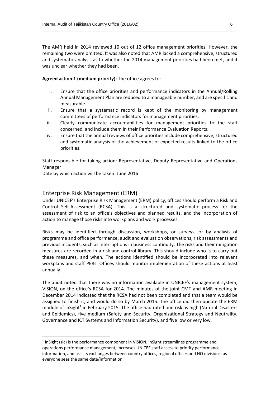The AMR held in 2014 reviewed 10 out of 12 office management priorities. However, the remaining two were omitted. It was also noted that AMR lacked a comprehensive, structured and systematic analysis as to whether the 2014 management priorities had been met, and it was unclear whether they had been.

 $\_$  , and the set of the set of the set of the set of the set of the set of the set of the set of the set of the set of the set of the set of the set of the set of the set of the set of the set of the set of the set of th

#### **Agreed action 1 (medium priority):** The office agrees to:

- i. Ensure that the office priorities and performance indicators in the Annual/Rolling Annual Management Plan are reduced to a manageable number, and are specific and measurable.
- ii. Ensure that a systematic record is kept of the monitoring by management committees of performance indicators for management priorities.
- iii. Clearly communicate accountabilities for management priorities to the staff concerned, and include them in their Performance Evaluation Reports.
- iv. Ensure that the annual reviews of office priorities include comprehensive, structured and systematic analysis of the achievement of expected results linked to the office priorities.

Staff responsible for taking action: Representative, Deputy Representative and Operations Manager

Date by which action will be taken: June 2016

#### Enterprise Risk Management (ERM)

1

Under UNICEF's Enterprise Risk Management (ERM) policy, offices should perform a Risk and Control Self-Assessment (RCSA). This is a structured and systematic process for the assessment of risk to an office's objectives and planned results, and the incorporation of action to manage those risks into workplans and work processes.

Risks may be identified through discussion, workshops, or surveys, or by analysis of programme and office performance, audit and evaluation observations, risk assessments and previous incidents, such as interruptions in business continuity. The risks and their mitigation measures are recorded in a risk and control library. This should include who is to carry out these measures, and when. The actions identified should be incorporated into relevant workplans and staff PERs. Offices should monitor implementation of these actions at least annually.

The audit noted that there was no information available in UNICEF's management system, VISION, on the office's RCSA for 2014. The minutes of the joint CMT and AMR meeting in December 2014 indicated that the RCSA had not been completed and that a team would be assigned to finish it, and would do so by March 2015. The office did then update the ERM module of inSight<sup>1</sup> in February 2015. The office had rated one risk as high (Natural Disasters and Epidemics), five medium (Safety and Security, Organizational Strategy and Neutrality, Governance and ICT Systems and Information Security), and five low or very low.

<sup>&</sup>lt;sup>1</sup> inSight (sic) is the performance component in VISION. inSight streamlines programme and operations performance management, increases UNICEF staff access to priority performance information, and assists exchanges between country offices, regional offices and HQ divisions, as everyone sees the same data/information.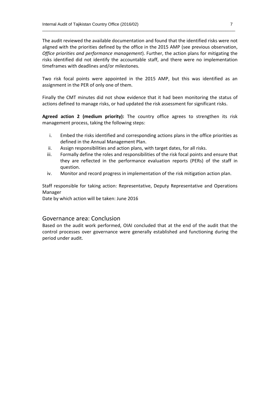The audit reviewed the available documentation and found that the identified risks were not aligned with the priorities defined by the office in the 2015 AMP (see previous observation, *Office priorities and performance management*). Further, the action plans for mitigating the risks identified did not identify the accountable staff, and there were no implementation timeframes with deadlines and/or milestones.

 $\_$  , and the set of the set of the set of the set of the set of the set of the set of the set of the set of the set of the set of the set of the set of the set of the set of the set of the set of the set of the set of th

Two risk focal points were appointed in the 2015 AMP, but this was identified as an assignment in the PER of only one of them.

Finally the CMT minutes did not show evidence that it had been monitoring the status of actions defined to manage risks, or had updated the risk assessment for significant risks.

**Agreed action 2 (medium priority):** The country office agrees to strengthen its risk management process, taking the following steps:

- i. Embed the risks identified and corresponding actions plans in the office priorities as defined in the Annual Management Plan.
- ii. Assign responsibilities and action plans, with target dates, for all risks.
- iii. Formally define the roles and responsibilities of the risk focal points and ensure that they are reflected in the performance evaluation reports (PERs) of the staff in question.
- iv. Monitor and record progress in implementation of the risk mitigation action plan.

Staff responsible for taking action: Representative, Deputy Representative and Operations Manager

Date by which action will be taken: June 2016

#### Governance area: Conclusion

Based on the audit work performed, OIAI concluded that at the end of the audit that the control processes over governance were generally established and functioning during the period under audit.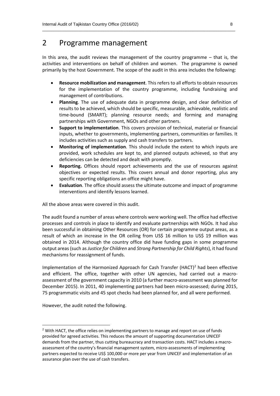# 2 Programme management

In this area, the audit reviews the management of the country programme  $-$  that is, the activities and interventions on behalf of children and women. The programme is owned primarily by the host Government. The scope of the audit in this area includes the following:

 $\_$  , and the set of the set of the set of the set of the set of the set of the set of the set of the set of the set of the set of the set of the set of the set of the set of the set of the set of the set of the set of th

- **Resource mobilization and management**. This refers to all efforts to obtain resources for the implementation of the country programme, including fundraising and management of contributions.
- **Planning**. The use of adequate data in programme design, and clear definition of results to be achieved, which should be specific, measurable, achievable, realistic and time-bound (SMART); planning resource needs; and forming and managing partnerships with Government, NGOs and other partners.
- **Support to implementation**. This covers provision of technical, material or financial inputs, whether to governments, implementing partners, communities or families. It includes activities such as supply and cash transfers to partners.
- **Monitoring of implementation**. This should include the extent to which inputs are provided, work schedules are kept to, and planned outputs achieved, so that any deficiencies can be detected and dealt with promptly.
- **Reporting.** Offices should report achievements and the use of resources against objectives or expected results. This covers annual and donor reporting, plus any specific reporting obligations an office might have.
- **Evaluation**. The office should assess the ultimate outcome and impact of programme interventions and identify lessons learned.

All the above areas were covered in this audit.

The audit found a number of areas where controls were working well. The office had effective processes and controls in place to identify and evaluate partnerships with NGOs. It had also been successful in obtaining Other Resources (OR) for certain programme output areas, as a result of which an increase in the OR ceiling from US\$ 16 million to US\$ 19 million was obtained in 2014. Although the country office did have funding gaps in some programme output areas (such as *Justice for Children* and *Strong Partnership for Child Rights*), it had found mechanisms for reassignment of funds.

Implementation of the Harmonized Approach for Cash Transfer (HACT)<sup>2</sup> had been effective and efficient. The office, together with other UN agencies, had carried out a macroassessment of the government capacity in 2010 (a further macro-assessment was planned for December 2015). In 2011, 40 implementing partners had been micro-assessed; during 2015, 75 programmatic visits and 45 spot checks had been planned for, and all were performed.

However, the audit noted the following.

**.** 

<sup>&</sup>lt;sup>2</sup> With HACT, the office relies on implementing partners to manage and report on use of funds provided for agreed activities. This reduces the amount of supporting documentation UNICEF demands from the partner, thus cutting bureaucracy and transaction costs. HACT includes a macroassessment of the country's financial management system, micro-assessments of implementing partners expected to receive US\$ 100,000 or more per year from UNICEF and implementation of an assurance plan over the use of cash transfers.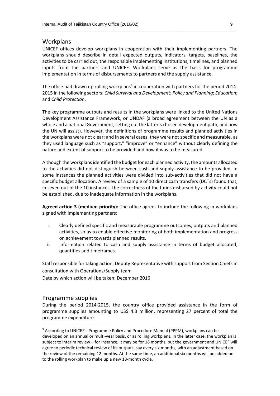#### Workplans

UNICEF offices develop workplans in cooperation with their implementing partners. The workplans should describe in detail expected outputs, indicators, targets, baselines, the activities to be carried out, the responsible implementing institutions, timelines, and planned inputs from the partners and UNICEF. Workplans serve as the basis for programme implementation in terms of disbursements to partners and the supply assistance.

 $\_$  , and the set of the set of the set of the set of the set of the set of the set of the set of the set of the set of the set of the set of the set of the set of the set of the set of the set of the set of the set of th

The office had drawn up rolling workplans<sup>3</sup> in cooperation with partners for the period 2014-2015 in the following sectors: *Child Survival and Development*; *Policy and Planning*; *Education*; and *Child Protection*.

The key programme outputs and results in the workplans were linked to the United Nations Development Assistance Framework, or UNDAF (a broad agreement between the UN as a whole and a national Government, setting out the latter's chosen development path, and how the UN will assist). However, the definitions of programme results and planned activities in the workplans were not clear; and in several cases, they were not specific and measurable, as they used language such as "support," "improve" or "enhance" without clearly defining the nature and extent of support to be provided and how it was to be measured.

Although the workplans identified the budget for each planned activity, the amounts allocated to the activities did not distinguish between cash and supply assistance to be provided. In some instances the planned activities were divided into sub-activities that did not have a specific budget allocation. A review of a sample of 10 direct cash transfers (DCTs) found that, in seven out of the 10 instances, the correctness of the funds disbursed by activity could not be established, due to inadequate information in the workplans.

**Agreed action 3 (medium priority):** The office agrees to include the following in workplans signed with implementing partners:

- i. Clearly defined specific and measurable programme outcomes, outputs and planned activities, so as to enable effective monitoring of both implementation and progress on achievement towards planned results.
- ii. Information related to cash and supply assistance in terms of budget allocated, quantities and timeframes.

Staff responsible for taking action: Deputy Representative with support from Section Chiefs in consultation with Operations/Supply team

Date by which action will be taken: December 2016

#### Programme supplies

**.** 

During the period 2014-2015, the country office provided assistance in the form of programme supplies amounting to US\$ 4.3 million, representing 27 percent of total the programme expenditure.

<sup>3</sup> According to UNICEF's Programme Policy and Procedure Manual (PPPM), workplans can be developed on an annual or multi-year basis, or as rolling workplans. In the latter case, the workplan is subject to interim review – for instance, it may be for 18 months, but the government and UNICEF will agree to periodic technical review of its outputs, say every six months, with an adjustment based on the review of the remaining 12 months. At the same time, an additional six months will be added on to the rolling workplan to make up a new 18-month cycle.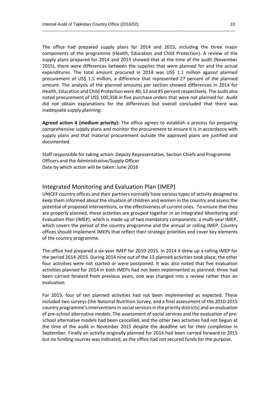The office had prepared supply plans for 2014 and 2015, including the three major components of the programme (Health, Education and Child Protection). A review of the supply plans prepared for 2014 and 2015 showed that at the time of the audit (November 2015), there were differences between the supplies that were planned for and the actual expenditures. The total amount procured in 2014 was US\$ 1.1 million against planned procurement of US\$ 1.5 million, a difference that represented 27 percent of the planned amount. The analysis of the planned amounts per section showed differences in 2014 for Health, Education and Child Protection were 40, 12 and 45 percent respectively. The audit also noted procurement of US\$ 100,358 in five purchase orders that were not planned for. Audit did not obtain explanations for the differences but overall concluded that there was inadequate supply planning.

 $\_$  , and the set of the set of the set of the set of the set of the set of the set of the set of the set of the set of the set of the set of the set of the set of the set of the set of the set of the set of the set of th

**Agreed action 4 (medium priority):** The office agrees to establish a process for preparing comprehensive supply plans and monitor the procurement to ensure it is in accordance with supply plans and that material procurement outside the approved plans are justified and documented.

Staff responsible for taking action: Deputy Representative, Section Chiefs and Programme Officers and the Administrative/Supply Officer Date by which action will be taken: June 2016

#### Integrated Monitoring and Evaluation Plan (IMEP)

UNICEF country offices and their partners normally have various types of activity designed to keep them informed about the situation of children and women in the country and assess the potential of proposed interventions, or the effectiveness of current ones. To ensure that they are properly planned, these activities are grouped together in an Integrated Monitoring and Evaluation Plan (IMEP), which is made up of two mandatory components: a multi-year IMEP, which covers the period of the country programme and the annual or rolling IMEP. Country offices should implement IMEPs that reflect their strategic priorities and cover key elements of the country programme.

The office had prepared a six-year IMEP for 2010-2015. In 2014 it drew up a rolling IMEP for the period 2014-2015. During 2014 nine out of the 13 planned activities took place; the other four activities were not started or were postponed. It was also noted that five evaluation activities planned for 2014 in both IMEPs had not been implemented as planned; three had been carried forward from previous years, one was changed into a review rather than an evaluation.

For 2015, four of ten planned activities had not been implemented as expected. These included two surveys (the National Nutrition Survey, and a final assessment of the 2010-2015 country programme's interventions in social services in the priority districts) and an evaluation of pre-school alternative models. The assessment of social services and the evaluation of preschool alternative models had been cancelled, and the other two activities had not begun at the time of the audit in November 2015 despite the deadline set for their completion in September. Finally an activity originally planned for 2014 had been carried forward to 2015 but no funding sources was indicated, as the office had not secured funds for the purpose.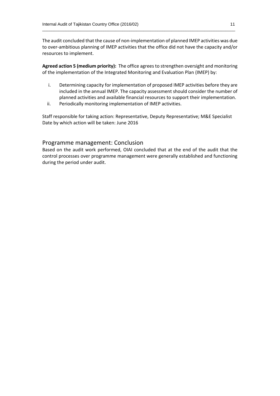The audit concluded that the cause of non-implementation of planned IMEP activities was due to over-ambitious planning of IMEP activities that the office did not have the capacity and/or resources to implement.

 $\_$  , and the set of the set of the set of the set of the set of the set of the set of the set of the set of the set of the set of the set of the set of the set of the set of the set of the set of the set of the set of th

**Agreed action 5 (medium priority):** The office agrees to strengthen oversight and monitoring of the implementation of the Integrated Monitoring and Evaluation Plan (IMEP) by:

- i. Determining capacity for implementation of proposed IMEP activities before they are included in the annual IMEP. The capacity assessment should consider the number of planned activities and available financial resources to support their implementation.
- ii. Periodically monitoring implementation of IMEP activities.

Staff responsible for taking action: Representative, Deputy Representative; M&E Specialist Date by which action will be taken: June 2016

#### Programme management: Conclusion

Based on the audit work performed, OIAI concluded that at the end of the audit that the control processes over programme management were generally established and functioning during the period under audit.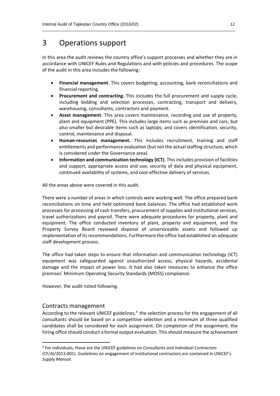## 3 Operations support

In this area the audit reviews the country office's support processes and whether they are in accordance with UNICEF Rules and Regulations and with policies and procedures. The scope of the audit in this area includes the following*:*

 $\_$  , and the set of the set of the set of the set of the set of the set of the set of the set of the set of the set of the set of the set of the set of the set of the set of the set of the set of the set of the set of th

- **Financial management**. This covers budgeting, accounting, bank reconciliations and financial reporting.
- **Procurement and contracting.** This includes the full procurement and supply cycle, including bidding and selection processes, contracting, transport and delivery, warehousing, consultants, contractors and payment.
- **Asset management**. This area covers maintenance, recording and use of property, plant and equipment (PPE). This includes large items such as premises and cars, but also smaller but desirable items such as laptops; and covers identification, security, control, maintenance and disposal.
- **Human-resources management.** This includes recruitment, training and staff entitlements and performance evaluation (but not the actual staffing structure, which is considered under the Governance area).
- **Information and communication technology (ICT)**. This includes provision of facilities and support, appropriate access and use, security of data and physical equipment, continued availability of systems, and cost-effective delivery of services.

All the areas above were covered in this audit.

There were a number of areas in which controls were working well. The office prepared bank reconciliations on time and held optimized bank balances. The office had established work processes for processing of cash transfers, procurement of supplies and institutional services, travel authorizations and payroll. There were adequate procedures for property, plant and equipment. The office conducted inventory of plant, property and equipment, and the Property Survey Board reviewed disposal of unserviceable assets and followed up implementation of its recommendations. Furthermore the office had established an adequate staff development process.

The office had taken steps to ensure that information and communication technology (ICT) equipment was safeguarded against unauthorized access, physical hazards, accidental damage and the impact of power loss. It had also taken measures to enhance the office premises' Minimum Operating Security Standards (MOSS) compliance.

However, the audit noted following.

#### Contracts management

**.** 

According to the relevant UNICEF guidelines,<sup>4</sup> the selection process for the engagement of all consultants should be based on a competitive selection and a minimum of three qualified candidates shall be considered for each assignment. On completion of the assignment, the hiring office should conduct a formal output evaluation. This should measure the achievement

<sup>4</sup> For individuals, these are the UNICEF guidelines on *Consultants and Individual Contractors*  (CF/AI/2013-001). Guidelines on engagement of institutional contractors are contained in UNICEF's *Supply Manual*.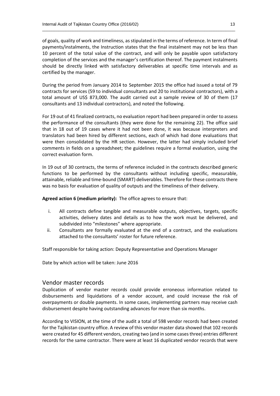of goals, quality of work and timeliness, as stipulated in the terms of reference. In term of final payments/instalments, the Instruction states that the final instalment may not be less than 10 percent of the total value of the contract, and will only be payable upon satisfactory completion of the services and the manager's certification thereof. The payment instalments should be directly linked with satisfactory deliverables at specific time intervals and as certified by the manager.

 $\_$  , and the set of the set of the set of the set of the set of the set of the set of the set of the set of the set of the set of the set of the set of the set of the set of the set of the set of the set of the set of th

During the period from January 2014 to September 2015 the office had issued a total of 79 contracts for services (59 to individual consultants and 20 to institutional contractors), with a total amount of US\$ 873,000. The audit carried out a sample review of 30 of them (17 consultants and 13 individual contractors), and noted the following.

For 19 out of 41 finalized contracts, no evaluation report had been prepared in order to assess the performance of the consultants (they were done for the remaining 22). The office said that in 18 out of 19 cases where it had not been done, it was because interpreters and translators had been hired by different sections, each of which had done evaluations that were then consolidated by the HR section. However, the latter had simply included brief comments in fields on a spreadsheet; the guidelines require a formal evaluation, using the correct evaluation form.

In 19 out of 30 contracts, the terms of reference included in the contracts described generic functions to be performed by the consultants without including specific, measurable, attainable, reliable and time-bound (SMART) deliverables. Therefore for these contracts there was no basis for evaluation of quality of outputs and the timeliness of their delivery.

**Agreed action 6 (medium priority):** The office agrees to ensure that:

- i. All contracts define tangible and measurable outputs, objectives, targets, specific activities, delivery dates and details as to how the work must be delivered, and subdivided into "milestones" where appropriate.
- ii. Consultants are formally evaluated at the end of a contract, and the evaluations attached to the consultants' roster for future reference.

Staff responsible for taking action: Deputy Representative and Operations Manager

Date by which action will be taken: June 2016

#### Vendor master records

Duplication of vendor master records could provide erroneous information related to disbursements and liquidations of a vendor account, and could increase the risk of overpayments or double payments. In some cases, implementing partners may receive cash disbursement despite having outstanding advances for more than six months.

According to VISION, at the time of the audit a total of 598 vendor records had been created for the Tajikistan country office. A review of this vendor master data showed that 102 records were created for 45 different vendors, creating two (and in some cases three) entries different records for the same contractor. There were at least 16 duplicated vendor records that were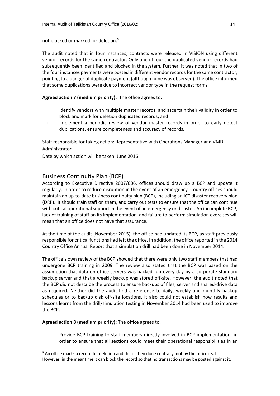not blocked or marked for deletion.<sup>5</sup>

The audit noted that in four instances, contracts were released in VISION using different vendor records for the same contractor. Only one of four the duplicated vendor records had subsequently been identified and blocked in the system. Further, it was noted that in two of the four instances payments were posted in different vendor records for the same contractor, pointing to a danger of duplicate payment (although none was observed). The office informed that some duplications were due to incorrect vendor type in the request forms.

 $\_$  , and the set of the set of the set of the set of the set of the set of the set of the set of the set of the set of the set of the set of the set of the set of the set of the set of the set of the set of the set of th

**Agreed action 7 (medium priority):** The office agrees to:

- i. Identify vendors with multiple master records, and ascertain their validity in order to block and mark for deletion duplicated records; and
- ii. Implement a periodic review of vendor master records in order to early detect duplications, ensure completeness and accuracy of records.

Staff responsible for taking action: Representative with Operations Manager and VMD Administrator

Date by which action will be taken: June 2016

#### Business Continuity Plan (BCP)

According to Executive Directive 2007/006, offices should draw up a BCP and update it regularly, in order to reduce disruption in the event of an emergency. Country offices should maintain an up-to-date business continuity plan (BCP), including an ICT disaster recovery plan (DRP). It should train staff on them, and carry out tests to ensure that the office can continue with critical operational support in the event of an emergency or disaster. An incomplete BCP, lack of training of staff on its implementation, and failure to perform simulation exercises will mean that an office does not have that assurance.

At the time of the audit (November 2015), the office had updated its BCP, as staff previously responsible for critical functions had left the office. In addition, the office reported in the 2014 Country Office Annual Report that a simulation drill had been done in November 2014.

The office's own review of the BCP showed that there were only two staff members that had undergone BCP training in 2009. The review also stated that the BCP was based on the assumption that data on office servers was backed -up every day by a corporate standard backup server and that a weekly backup was stored off-site. However, the audit noted that the BCP did not describe the process to ensure backups of files, server and shared-drive data as required. Neither did the audit find a reference to daily, weekly and monthly backup schedules or to backup disk off-site locations. It also could not establish how results and lessons learnt from the drill/simulation testing in November 2014 had been used to improve the BCP.

**Agreed action 8 (medium priority):** The office agrees to:

 $\overline{a}$ 

i. Provide BCP training to staff members directly involved in BCP implementation, in order to ensure that all sections could meet their operational responsibilities in an

<sup>&</sup>lt;sup>5</sup> An office marks a record for deletion and this is then done centrally, not by the office itself. However, in the meantime it can block the record so that no transactions may be posted against it.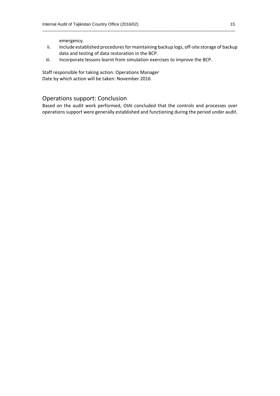emergency.

ii. Include established procedures for maintaining backup logs, off-site storage of backup data and testing of data restoration in the BCP.

 $\_$  , and the set of the set of the set of the set of the set of the set of the set of the set of the set of the set of the set of the set of the set of the set of the set of the set of the set of the set of the set of th

iii. Incorporate lessons learnt from simulation exercises to improve the BCP.

Staff responsible for taking action: Operations Manager Date by which action will be taken: November 2016

#### Operations support: Conclusion

Based on the audit work performed, OIAI concluded that the controls and processes over operations support were generally established and functioning during the period under audit.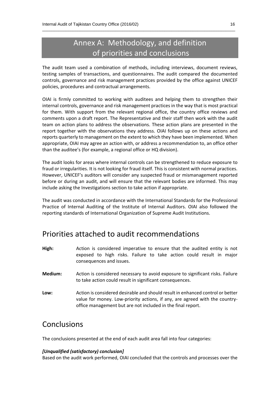# Annex A: Methodology, and definition of priorities and conclusions

 $\_$  , and the set of the set of the set of the set of the set of the set of the set of the set of the set of the set of the set of the set of the set of the set of the set of the set of the set of the set of the set of th

The audit team used a combination of methods, including interviews, document reviews, testing samples of transactions, and questionnaires. The audit compared the documented controls, governance and risk management practices provided by the office against UNICEF policies, procedures and contractual arrangements.

OIAI is firmly committed to working with auditees and helping them to strengthen their internal controls, governance and risk management practices in the way that is most practical for them. With support from the relevant regional office, the country office reviews and comments upon a draft report. The Representative and their staff then work with the audit team on action plans to address the observations. These action plans are presented in the report together with the observations they address. OIAI follows up on these actions and reports quarterly to management on the extent to which they have been implemented. When appropriate, OIAI may agree an action with, or address a recommendation to, an office other than the auditee's (for example, a regional office or HQ division).

The audit looks for areas where internal controls can be strengthened to reduce exposure to fraud or irregularities. It is not looking for fraud itself. This is consistent with normal practices. However, UNICEF's auditors will consider any suspected fraud or mismanagement reported before or during an audit, and will ensure that the relevant bodies are informed. This may include asking the Investigations section to take action if appropriate.

The audit was conducted in accordance with the International Standards for the Professional Practice of Internal Auditing of the Institute of Internal Auditors. OIAI also followed the reporting standards of International Organization of Supreme Audit Institutions.

### Priorities attached to audit recommendations

- **High:** Action is considered imperative to ensure that the audited entity is not exposed to high risks. Failure to take action could result in major consequences and issues.
- **Medium:** Action is considered necessary to avoid exposure to significant risks. Failure to take action could result in significant consequences.
- **Low:** Action is considered desirable and should result in enhanced control or better value for money. Low-priority actions, if any, are agreed with the countryoffice management but are not included in the final report.

### **Conclusions**

The conclusions presented at the end of each audit area fall into four categories:

#### *[Unqualified (satisfactory) conclusion]*

Based on the audit work performed, OIAI concluded that the controls and processes over the